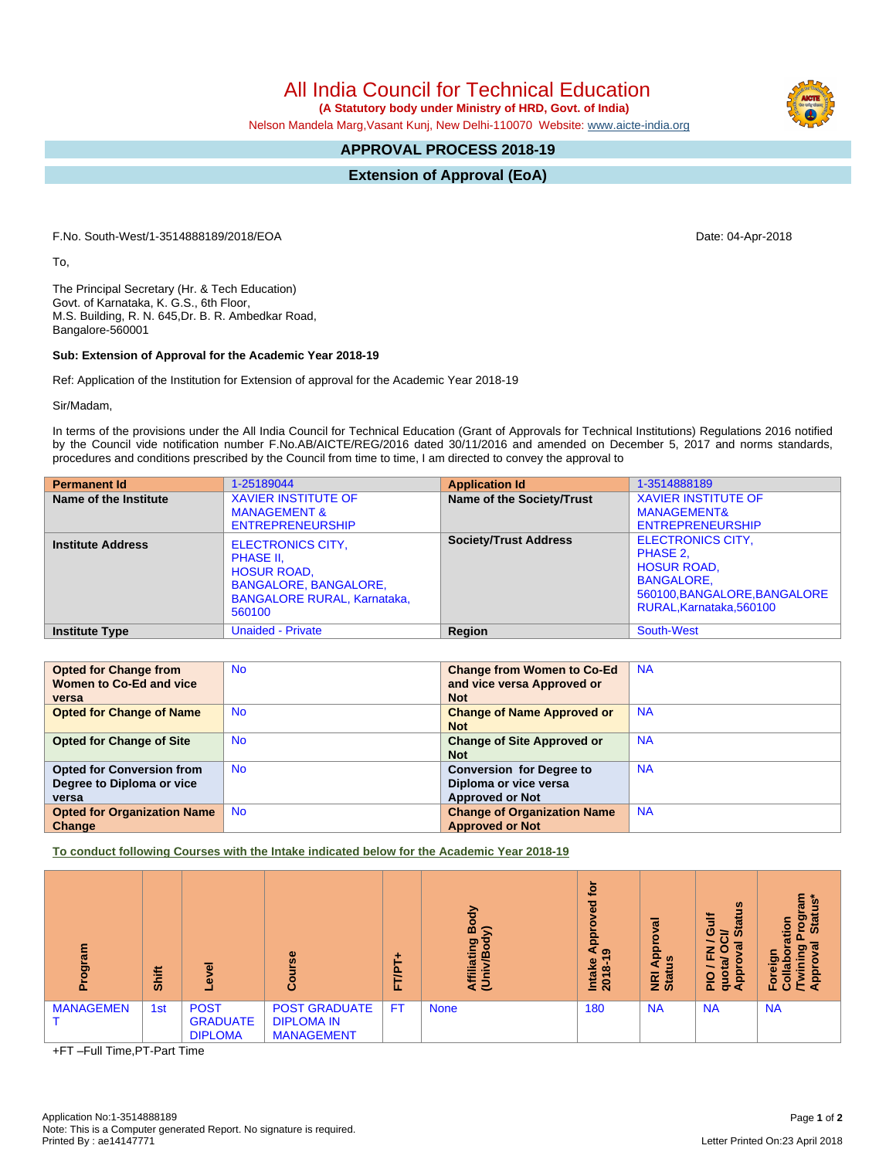All India Council for Technical Education

 **(A Statutory body under Ministry of HRD, Govt. of India)**

Nelson Mandela Marg,Vasant Kunj, New Delhi-110070 Website: [www.aicte-india.org](http://www.aicte-india.org)

## **APPROVAL PROCESS 2018-19**

**Extension of Approval (EoA)**

F.No. South-West/1-3514888189/2018/EOA Date: 04-Apr-2018

To,

The Principal Secretary (Hr. & Tech Education) Govt. of Karnataka, K. G.S., 6th Floor, M.S. Building, R. N. 645,Dr. B. R. Ambedkar Road, Bangalore-560001

## **Sub: Extension of Approval for the Academic Year 2018-19**

Ref: Application of the Institution for Extension of approval for the Academic Year 2018-19

Sir/Madam,

In terms of the provisions under the All India Council for Technical Education (Grant of Approvals for Technical Institutions) Regulations 2016 notified by the Council vide notification number F.No.AB/AICTE/REG/2016 dated 30/11/2016 and amended on December 5, 2017 and norms standards, procedures and conditions prescribed by the Council from time to time, I am directed to convey the approval to

| <b>Permanent Id</b>      | 1-25189044                                                                                                                                  | <b>Application Id</b>        | 1-3514888189                                                                                                                                |
|--------------------------|---------------------------------------------------------------------------------------------------------------------------------------------|------------------------------|---------------------------------------------------------------------------------------------------------------------------------------------|
| Name of the Institute    | <b>XAVIER INSTITUTE OF</b><br><b>MANAGEMENT &amp;</b><br><b>ENTREPRENEURSHIP</b>                                                            | Name of the Society/Trust    | <b>XAVIER INSTITUTE OF</b><br><b>MANAGEMENT&amp;</b><br><b>ENTREPRENEURSHIP</b>                                                             |
| <b>Institute Address</b> | <b>ELECTRONICS CITY,</b><br>PHASE II,<br><b>HOSUR ROAD,</b><br><b>BANGALORE, BANGALORE,</b><br><b>BANGALORE RURAL, Karnataka.</b><br>560100 | <b>Society/Trust Address</b> | <b>ELECTRONICS CITY,</b><br>PHASE 2,<br><b>HOSUR ROAD.</b><br><b>BANGALORE.</b><br>560100, BANGALORE, BANGALORE<br>RURAL, Karnataka, 560100 |
| <b>Institute Type</b>    | <b>Unaided - Private</b>                                                                                                                    | Region                       | South-West                                                                                                                                  |

| <b>Opted for Change from</b>       | <b>No</b> | <b>Change from Women to Co-Ed</b>  | <b>NA</b> |
|------------------------------------|-----------|------------------------------------|-----------|
| Women to Co-Ed and vice            |           | and vice versa Approved or         |           |
| versa                              |           | <b>Not</b>                         |           |
| <b>Opted for Change of Name</b>    | <b>No</b> | <b>Change of Name Approved or</b>  | <b>NA</b> |
|                                    |           | <b>Not</b>                         |           |
| <b>Opted for Change of Site</b>    | <b>No</b> | <b>Change of Site Approved or</b>  | <b>NA</b> |
|                                    |           | <b>Not</b>                         |           |
| <b>Opted for Conversion from</b>   | <b>No</b> | <b>Conversion for Degree to</b>    | <b>NA</b> |
| Degree to Diploma or vice          |           | Diploma or vice versa              |           |
| versa                              |           | <b>Approved or Not</b>             |           |
| <b>Opted for Organization Name</b> | <b>No</b> | <b>Change of Organization Name</b> | <b>NA</b> |
| Change                             |           | <b>Approved or Not</b>             |           |

**To conduct following Courses with the Intake indicated below for the Academic Year 2018-19**

| ٤<br>ត្ថ<br>ចូ<br>ō | <b>Shift</b> | $\omega$<br>ω                                    | Φ<br>۰<br>Õ                                                    | ۰<br>ë<br>┕<br>iı. | Body<br>⋦<br>Affiliating<br>(Univ/Bod <sup>)</sup> | <u>ច</u><br>ᄝ<br>A <sub>D</sub> <sub>d</sub><br>۳,<br>Intake<br>2018-1 | $\sigma$<br>윤<br>9<br>a<br>NRI<br>Stat | <b>Status</b><br>ă<br>ပ<br>∍<br>$\sigma$<br>z<br>c<br>щ<br><b>Juddy</b><br>œ<br>$\frac{1}{2}$<br>g<br>ਰ<br>a | ្លូវ គ្ល<br>ႜၟ<br>ation<br><b>Sta</b><br><b>N</b><br>፵<br>Foreign<br>$\overline{\omega}$<br>ą<br>ු<br>c. |
|---------------------|--------------|--------------------------------------------------|----------------------------------------------------------------|--------------------|----------------------------------------------------|------------------------------------------------------------------------|----------------------------------------|--------------------------------------------------------------------------------------------------------------|----------------------------------------------------------------------------------------------------------|
| <b>MANAGEMEN</b>    | 1st          | <b>POST</b><br><b>GRADUATE</b><br><b>DIPLOMA</b> | <b>POST GRADUATE</b><br><b>DIPLOMA IN</b><br><b>MANAGEMENT</b> | <b>FT</b>          | <b>None</b>                                        | 180                                                                    | <b>NA</b>                              | <b>NA</b>                                                                                                    | <b>NA</b>                                                                                                |

+FT –Full Time,PT-Part Time